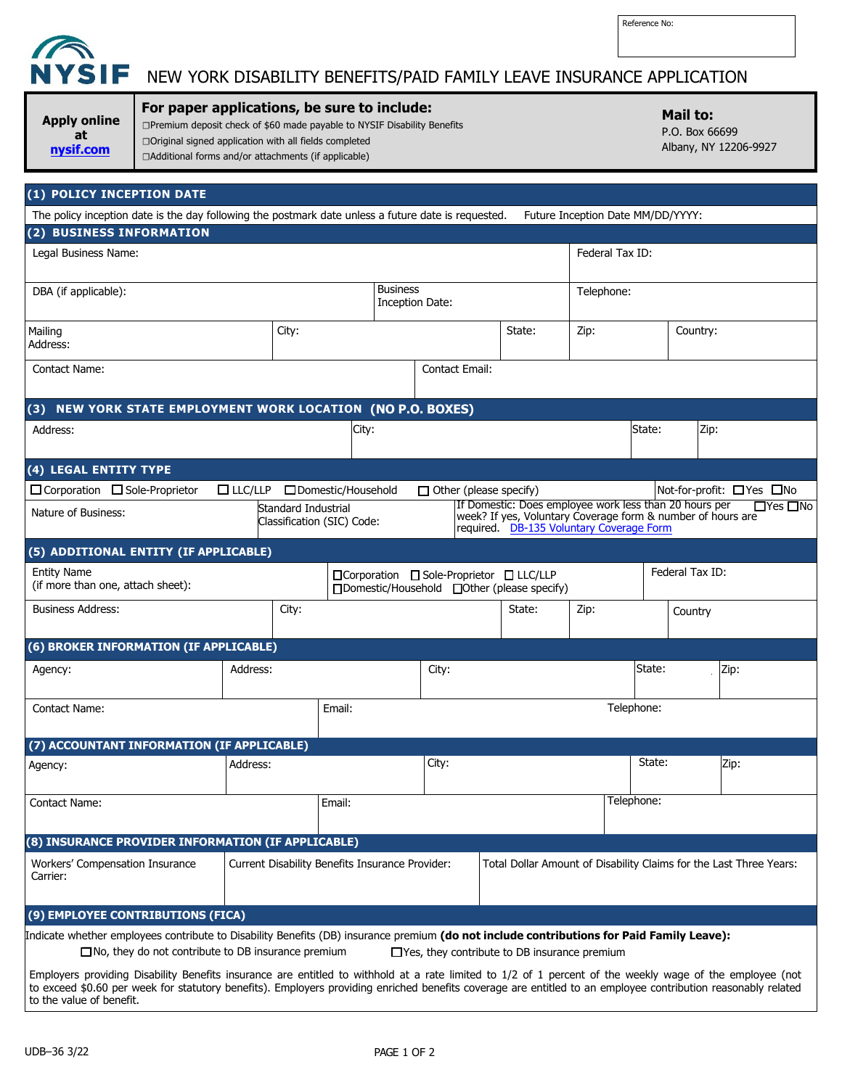| <b>NYSIF</b>                                                                                                                                             | NEW YORK DISABILITY BENEFITS/PAID FAMILY LEAVE INSURANCE APPLICATION                                                                                                                                                                      |                                                                                                                       |                                                   |                                    |  |                                          |  |                                                                                                                                                                   |                                   |            |                 |                            |                      |
|----------------------------------------------------------------------------------------------------------------------------------------------------------|-------------------------------------------------------------------------------------------------------------------------------------------------------------------------------------------------------------------------------------------|-----------------------------------------------------------------------------------------------------------------------|---------------------------------------------------|------------------------------------|--|------------------------------------------|--|-------------------------------------------------------------------------------------------------------------------------------------------------------------------|-----------------------------------|------------|-----------------|----------------------------|----------------------|
| <b>Apply online</b><br>at<br>nysif.com                                                                                                                   | For paper applications, be sure to include:<br>□Premium deposit check of \$60 made payable to NYSIF Disability Benefits<br>□Original signed application with all fields completed<br>□Additional forms and/or attachments (if applicable) |                                                                                                                       |                                                   |                                    |  |                                          |  | <b>Mail to:</b><br>P.O. Box 66699<br>Albany, NY 12206-9927                                                                                                        |                                   |            |                 |                            |                      |
| (1) POLICY INCEPTION DATE                                                                                                                                |                                                                                                                                                                                                                                           |                                                                                                                       |                                                   |                                    |  |                                          |  |                                                                                                                                                                   |                                   |            |                 |                            |                      |
| The policy inception date is the day following the postmark date unless a future date is requested.                                                      |                                                                                                                                                                                                                                           |                                                                                                                       |                                                   |                                    |  |                                          |  |                                                                                                                                                                   | Future Inception Date MM/DD/YYYY: |            |                 |                            |                      |
| (2) BUSINESS INFORMATION                                                                                                                                 |                                                                                                                                                                                                                                           |                                                                                                                       |                                                   |                                    |  |                                          |  |                                                                                                                                                                   |                                   |            |                 |                            |                      |
| Legal Business Name:                                                                                                                                     |                                                                                                                                                                                                                                           |                                                                                                                       |                                                   |                                    |  |                                          |  |                                                                                                                                                                   | Federal Tax ID:                   |            |                 |                            |                      |
| DBA (if applicable):                                                                                                                                     |                                                                                                                                                                                                                                           |                                                                                                                       |                                                   | <b>Business</b><br>Inception Date: |  |                                          |  | Telephone:                                                                                                                                                        |                                   |            |                 |                            |                      |
| Mailing<br>Address:                                                                                                                                      |                                                                                                                                                                                                                                           |                                                                                                                       | City:                                             |                                    |  |                                          |  | State:                                                                                                                                                            | Zip:                              |            | Country:        |                            |                      |
| <b>Contact Name:</b>                                                                                                                                     |                                                                                                                                                                                                                                           |                                                                                                                       |                                                   |                                    |  | Contact Email:                           |  |                                                                                                                                                                   |                                   |            |                 |                            |                      |
| (3)                                                                                                                                                      | NEW YORK STATE EMPLOYMENT WORK LOCATION (NO P.O. BOXES)                                                                                                                                                                                   |                                                                                                                       |                                                   |                                    |  |                                          |  |                                                                                                                                                                   |                                   |            |                 |                            |                      |
| Address:                                                                                                                                                 |                                                                                                                                                                                                                                           |                                                                                                                       |                                                   | City:                              |  |                                          |  |                                                                                                                                                                   |                                   | State:     |                 | Zip:                       |                      |
| (4) LEGAL ENTITY TYPE                                                                                                                                    |                                                                                                                                                                                                                                           |                                                                                                                       |                                                   |                                    |  |                                          |  |                                                                                                                                                                   |                                   |            |                 |                            |                      |
| $\Box$ Corporation $\Box$ Sole-Proprietor                                                                                                                |                                                                                                                                                                                                                                           | $\Box$ LLC/LLP                                                                                                        |                                                   | □Domestic/Household                |  | $\Box$ Other (please specify)            |  |                                                                                                                                                                   |                                   |            |                 | Not-for-profit: □ Yes □ No |                      |
| Nature of Business:                                                                                                                                      |                                                                                                                                                                                                                                           |                                                                                                                       | Standard Industrial<br>Classification (SIC) Code: |                                    |  |                                          |  | If Domestic: Does employee work less than 20 hours per<br>week? If yes, Voluntary Coverage form & number of hours are<br>required. DB-135 Voluntary Coverage Form |                                   |            |                 |                            | $\Box$ Yes $\Box$ No |
| (5) ADDITIONAL ENTITY (IF APPLICABLE)                                                                                                                    |                                                                                                                                                                                                                                           |                                                                                                                       |                                                   |                                    |  |                                          |  |                                                                                                                                                                   |                                   |            |                 |                            |                      |
| <b>Entity Name</b><br>(if more than one, attach sheet):                                                                                                  |                                                                                                                                                                                                                                           |                                                                                                                       |                                                   |                                    |  | □Corporation □ Sole-Proprietor □ LLC/LLP |  | □Domestic/Household □Other (please specify)                                                                                                                       |                                   |            | Federal Tax ID: |                            |                      |
| <b>Business Address:</b>                                                                                                                                 |                                                                                                                                                                                                                                           |                                                                                                                       | City:                                             |                                    |  |                                          |  | State:                                                                                                                                                            | Zip:                              |            | Country         |                            |                      |
| (6) BROKER INFORMATION (IF APPLICABLE)                                                                                                                   |                                                                                                                                                                                                                                           |                                                                                                                       |                                                   |                                    |  |                                          |  |                                                                                                                                                                   |                                   |            |                 |                            |                      |
| Agency:                                                                                                                                                  |                                                                                                                                                                                                                                           | Address:                                                                                                              |                                                   |                                    |  | City:                                    |  |                                                                                                                                                                   |                                   | State:     |                 | Zip:                       |                      |
| <b>Contact Name:</b>                                                                                                                                     |                                                                                                                                                                                                                                           |                                                                                                                       |                                                   | Email:                             |  |                                          |  |                                                                                                                                                                   |                                   | Telephone: |                 |                            |                      |
| (7) ACCOUNTANT INFORMATION (IF APPLICABLE)                                                                                                               |                                                                                                                                                                                                                                           |                                                                                                                       |                                                   |                                    |  |                                          |  |                                                                                                                                                                   |                                   |            |                 |                            |                      |
| Agency:                                                                                                                                                  |                                                                                                                                                                                                                                           | Address:                                                                                                              |                                                   |                                    |  | City:                                    |  |                                                                                                                                                                   |                                   | State:     |                 | Zip:                       |                      |
| Contact Name:                                                                                                                                            |                                                                                                                                                                                                                                           |                                                                                                                       |                                                   | Email:                             |  |                                          |  |                                                                                                                                                                   |                                   | Telephone: |                 |                            |                      |
| (8) INSURANCE PROVIDER INFORMATION (IF APPLICABLE)                                                                                                       |                                                                                                                                                                                                                                           |                                                                                                                       |                                                   |                                    |  |                                          |  |                                                                                                                                                                   |                                   |            |                 |                            |                      |
| Workers' Compensation Insurance<br>Carrier:                                                                                                              |                                                                                                                                                                                                                                           | Current Disability Benefits Insurance Provider:<br>Total Dollar Amount of Disability Claims for the Last Three Years: |                                                   |                                    |  |                                          |  |                                                                                                                                                                   |                                   |            |                 |                            |                      |
| (9) EMPLOYEE CONTRIBUTIONS (FICA)                                                                                                                        |                                                                                                                                                                                                                                           |                                                                                                                       |                                                   |                                    |  |                                          |  |                                                                                                                                                                   |                                   |            |                 |                            |                      |
| Indicate whether employees contribute to Disability Benefits (DB) insurance premium (do not include contributions for Paid Family Leave):                | $\Box$ No, they do not contribute to DB insurance premium                                                                                                                                                                                 |                                                                                                                       |                                                   |                                    |  |                                          |  | $\Box$ Yes, they contribute to DB insurance premium                                                                                                               |                                   |            |                 |                            |                      |
| Employers providing Disability Benefits insurance are entitled to withhold at a rate limited to 1/2 of 1 percent of the weekly wage of the employee (not |                                                                                                                                                                                                                                           |                                                                                                                       |                                                   |                                    |  |                                          |  |                                                                                                                                                                   |                                   |            |                 |                            |                      |

Reference No:

Employers providing Disability Benefits insurance are entitled to withhold at a rate limited to 1/2 of 1 percent of the weekly wage of the employee (not to exceed \$0.60 per week for statutory benefits). Employers providing enriched benefits coverage are entitled to an employee contribution reasonably related to the value of benefit.